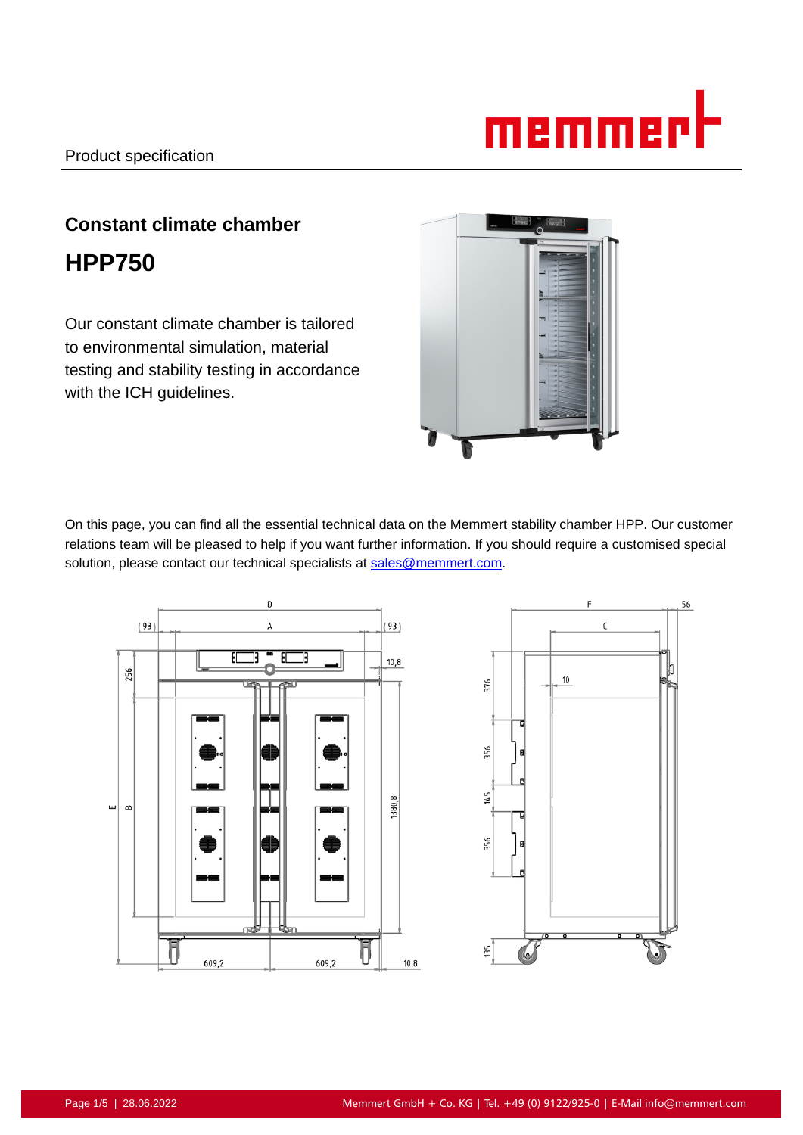

# **Constant climate chamber HPP750**

Our constant climate chamber is tailored to environmental simulation, material testing and stability testing in accordance with the ICH guidelines.



On this page, you can find all the essential technical data on the Memmert stability chamber HPP. Our customer relations team will be pleased to help if you want further information. If you should require a customised special solution, please contact our technical specialists at sales@memmert.com.



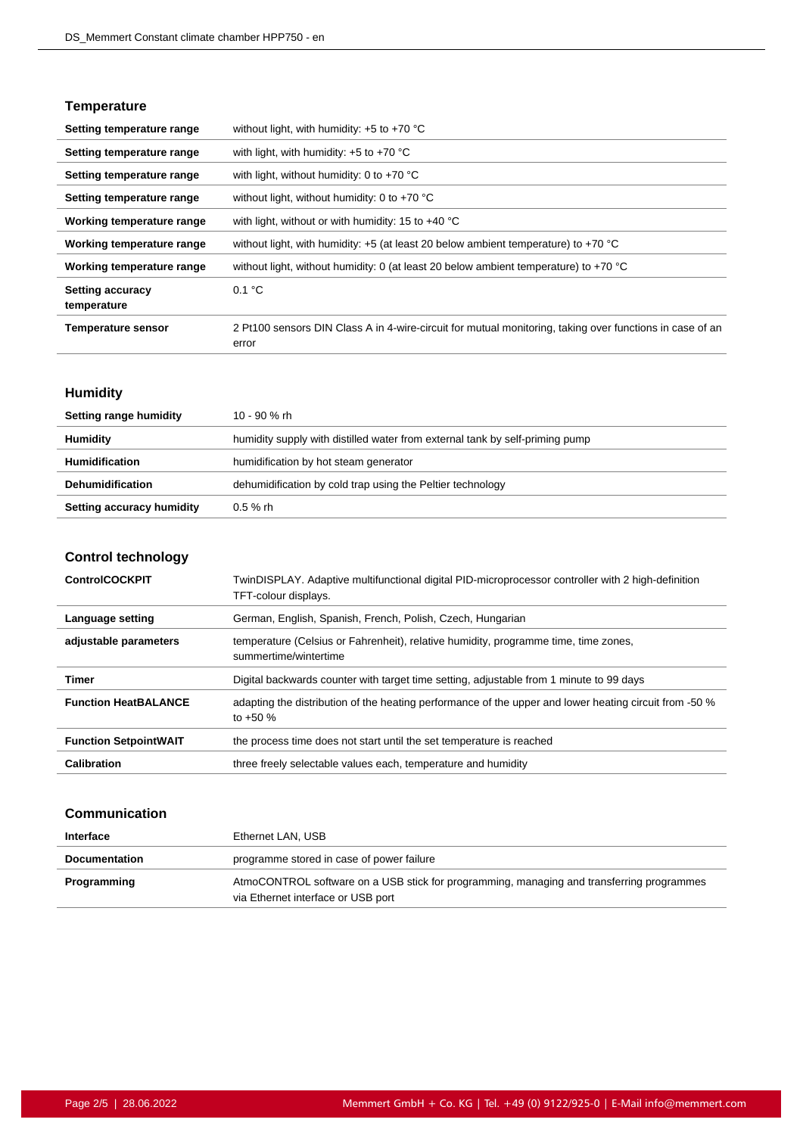#### **Temperature**

| Setting temperature range              | without light, with humidity: $+5$ to $+70$ °C                                                                    |
|----------------------------------------|-------------------------------------------------------------------------------------------------------------------|
| Setting temperature range              | with light, with humidity: $+5$ to $+70$ °C                                                                       |
| Setting temperature range              | with light, without humidity: 0 to $+70$ °C                                                                       |
| Setting temperature range              | without light, without humidity: 0 to $+70$ °C                                                                    |
| Working temperature range              | with light, without or with humidity: 15 to $+40^{\circ}$ C                                                       |
| Working temperature range              | without light, with humidity: $+5$ (at least 20 below ambient temperature) to $+70$ °C                            |
| Working temperature range              | without light, without humidity: 0 (at least 20 below ambient temperature) to +70 °C                              |
| <b>Setting accuracy</b><br>temperature | 0.1 °C                                                                                                            |
| <b>Temperature sensor</b>              | 2 Pt100 sensors DIN Class A in 4-wire-circuit for mutual monitoring, taking over functions in case of an<br>error |

## **Humidity**

| Setting range humidity    | 10 - 90 % rh                                                                 |
|---------------------------|------------------------------------------------------------------------------|
| <b>Humidity</b>           | humidity supply with distilled water from external tank by self-priming pump |
| <b>Humidification</b>     | humidification by hot steam generator                                        |
| <b>Dehumidification</b>   | dehumidification by cold trap using the Peltier technology                   |
| Setting accuracy humidity | $0.5 \%$ rh                                                                  |

## **Control technology**

| <b>ControlCOCKPIT</b>        | TwinDISPLAY. Adaptive multifunctional digital PID-microprocessor controller with 2 high-definition<br>TFT-colour displays. |
|------------------------------|----------------------------------------------------------------------------------------------------------------------------|
| Language setting             | German, English, Spanish, French, Polish, Czech, Hungarian                                                                 |
| adjustable parameters        | temperature (Celsius or Fahrenheit), relative humidity, programme time, time zones,<br>summertime/wintertime               |
| Timer                        | Digital backwards counter with target time setting, adjustable from 1 minute to 99 days                                    |
| <b>Function HeatBALANCE</b>  | adapting the distribution of the heating performance of the upper and lower heating circuit from -50 %<br>to $+50\%$       |
| <b>Function SetpointWAIT</b> | the process time does not start until the set temperature is reached                                                       |
| Calibration                  | three freely selectable values each, temperature and humidity                                                              |

#### **Communication**

| Interface            | Ethernet LAN, USB                                                                                                               |
|----------------------|---------------------------------------------------------------------------------------------------------------------------------|
| <b>Documentation</b> | programme stored in case of power failure                                                                                       |
| Programming          | AtmoCONTROL software on a USB stick for programming, managing and transferring programmes<br>via Ethernet interface or USB port |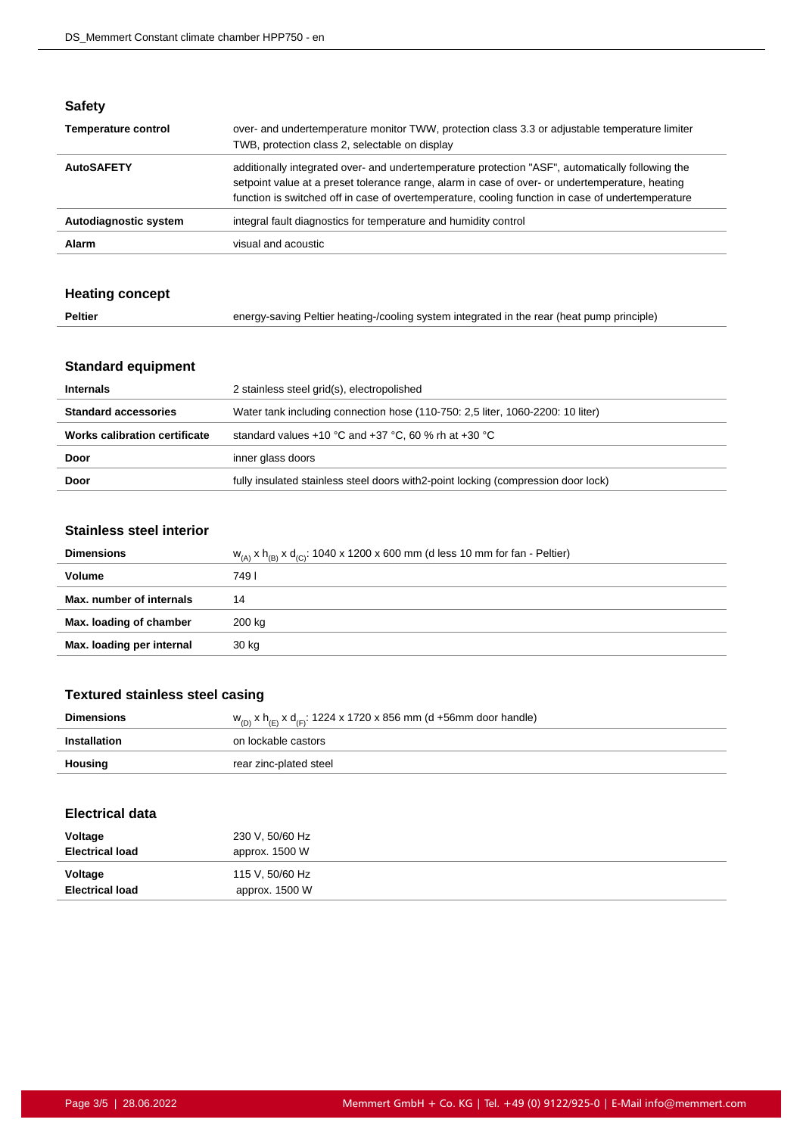| × | ٠<br>÷ | × |  |
|---|--------|---|--|
|   |        |   |  |

| <b>Temperature control</b> | over- and undertemperature monitor TWW, protection class 3.3 or adjustable temperature limiter<br>TWB, protection class 2, selectable on display                                                                                                                                                         |
|----------------------------|----------------------------------------------------------------------------------------------------------------------------------------------------------------------------------------------------------------------------------------------------------------------------------------------------------|
| <b>AutoSAFETY</b>          | additionally integrated over- and undertemperature protection "ASF", automatically following the<br>setpoint value at a preset tolerance range, alarm in case of over- or undertemperature, heating<br>function is switched off in case of overtemperature, cooling function in case of undertemperature |
| Autodiagnostic system      | integral fault diagnostics for temperature and humidity control                                                                                                                                                                                                                                          |
| Alarm                      | visual and acoustic                                                                                                                                                                                                                                                                                      |

## **Heating concept**

| <b>Peltier</b><br>energy-saving Peltier heating-/cooling system integrated in the rear (heat pump principle) |  |
|--------------------------------------------------------------------------------------------------------------|--|
|--------------------------------------------------------------------------------------------------------------|--|

## **Standard equipment**

| <b>Internals</b>              | 2 stainless steel grid(s), electropolished                                         |
|-------------------------------|------------------------------------------------------------------------------------|
| <b>Standard accessories</b>   | Water tank including connection hose (110-750: 2,5 liter, 1060-2200: 10 liter)     |
| Works calibration certificate | standard values +10 °C and +37 °C, 60 % rh at +30 °C                               |
| Door                          | inner glass doors                                                                  |
| Door                          | fully insulated stainless steel doors with 2-point locking (compression door lock) |

#### **Stainless steel interior**

| $W_{(A)} x h_{(B)} x d_{(C)}$ : 1040 x 1200 x 600 mm (d less 10 mm for fan - Peltier) |
|---------------------------------------------------------------------------------------|
| 749 I                                                                                 |
| 14                                                                                    |
| 200 kg                                                                                |
| 30 kg                                                                                 |
|                                                                                       |

## **Textured stainless steel casing**

| <b>Dimensions</b> | $w_{(D)}$ x h <sub>(E)</sub> x d <sub>(F)</sub> : 1224 x 1720 x 856 mm (d +56mm door handle) |
|-------------------|----------------------------------------------------------------------------------------------|
| Installation      | on lockable castors                                                                          |
| Housing           | rear zinc-plated steel                                                                       |

#### **Electrical data**

| Voltage<br><b>Electrical load</b> | 230 V, 50/60 Hz<br>approx. 1500 W |  |
|-----------------------------------|-----------------------------------|--|
| Voltage<br><b>Electrical load</b> | 115 V, 50/60 Hz<br>approx. 1500 W |  |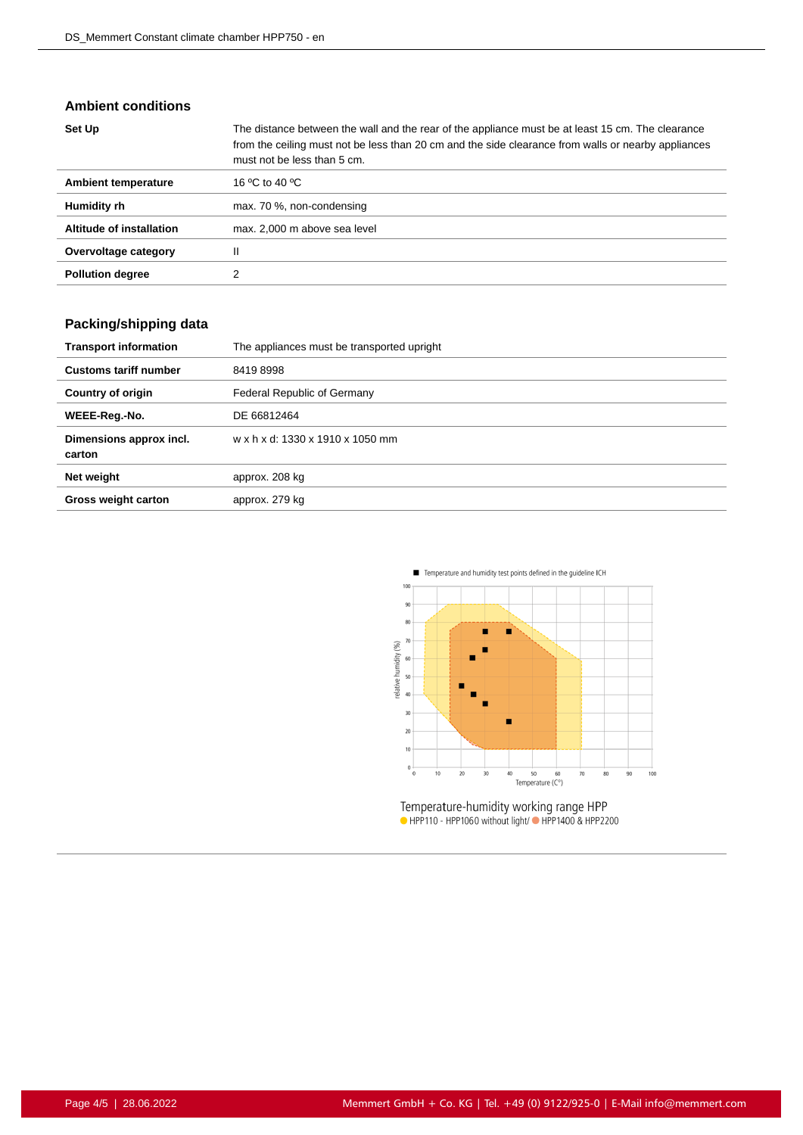#### **Ambient conditions**

| Set Up                   | The distance between the wall and the rear of the appliance must be at least 15 cm. The clearance<br>from the ceiling must not be less than 20 cm and the side clearance from walls or nearby appliances<br>must not be less than 5 cm. |
|--------------------------|-----------------------------------------------------------------------------------------------------------------------------------------------------------------------------------------------------------------------------------------|
| Ambient temperature      | 16 °C to 40 °C                                                                                                                                                                                                                          |
| Humidity rh              | max. 70 %, non-condensing                                                                                                                                                                                                               |
| Altitude of installation | max. 2,000 m above sea level                                                                                                                                                                                                            |
| Overvoltage category     | Ш                                                                                                                                                                                                                                       |
| <b>Pollution degree</b>  |                                                                                                                                                                                                                                         |

## **Packing/shipping data**

| <b>Transport information</b>      | The appliances must be transported upright |
|-----------------------------------|--------------------------------------------|
| <b>Customs tariff number</b>      | 84198998                                   |
| <b>Country of origin</b>          | Federal Republic of Germany                |
| WEEE-Reg.-No.                     | DE 66812464                                |
| Dimensions approx incl.<br>carton | w x h x d: 1330 x 1910 x 1050 mm           |
| Net weight                        | approx. 208 kg                             |
| <b>Gross weight carton</b>        | approx. 279 kg                             |



Temperature-humidity working range HPP<br>• HPP110 - HPP1060 without light/• HPP1400 & HPP2200